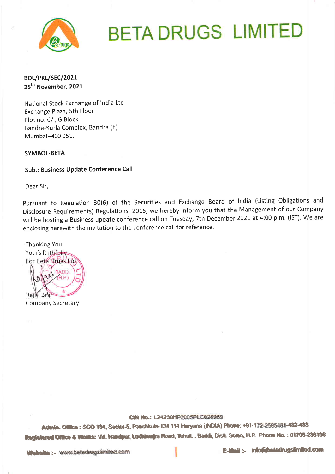

# **BETA DRUGS LIMITED**

## BDL/PKL/SEC/2021 25<sup>th</sup> November, 2021

National Stock Exchange of India Ltd. Exchange Plaza, 5th Floor Plot no. C/I, G Block Bandra-Kurla Complex, Bandra (E) Mumbai-400 051.

### **SYMBOL-BETA**

### Sub.: Business Update Conference Call

Dear Sir,

Pursuant to Regulation 30(6) of the Securities and Exchange Board of India (Listing Obligations and Disclosure Requirements) Regulations, 2015, we hereby inform you that the Management of our Company will be hosting a Business update conference call on Tuesday, 7th December 2021 at 4:00 p.m. (IST). We are enclosing herewith the invitation to the conference call for reference.

**Thanking You** Your's faithfully For Beta Drugs Ltd Rajhi Bra Company Secretary

#### CIN No.: L24230HP2005PLC028969

Admin. Office: SCO 184, Sector-5, Panchkula-134 114 Haryana (INDIA) Phone: +91-172-2585481-482-483 Registered Office & Works: Vill. Nandpur, Lodhimajra Road, Tehsil.: Baddi, Distl. Solan, H.P. Phone No.: 01795-236196